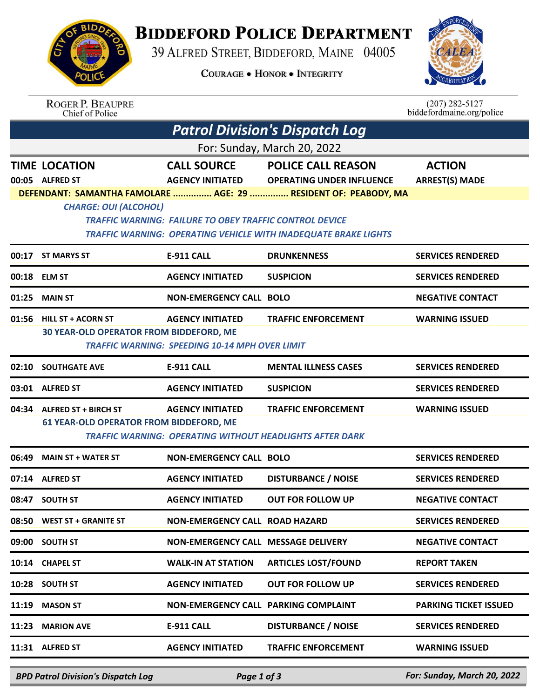

## **BIDDEFORD POLICE DEPARTMENT**

39 ALFRED STREET, BIDDEFORD, MAINE 04005

**COURAGE . HONOR . INTEGRITY** 



| <b>ROGER P. BEAUPRE</b> |
|-------------------------|
| Chief of Police         |

 $(207)$  282-5127<br>biddefordmaine.org/police

| For: Sunday, March 20, 2022<br><b>POLICE CALL REASON</b><br><b>ACTION</b><br><b>TIME LOCATION</b><br><b>CALL SOURCE</b><br><b>AGENCY INITIATED</b><br><b>OPERATING UNDER INFLUENCE</b><br><b>ARREST(S) MADE</b><br>00:05 ALFRED ST<br>DEFENDANT: SAMANTHA FAMOLARE  AGE: 29  RESIDENT OF: PEABODY, MA<br><b>CHARGE: OUI (ALCOHOL)</b><br><b>TRAFFIC WARNING: FAILURE TO OBEY TRAFFIC CONTROL DEVICE</b><br><b>TRAFFIC WARNING: OPERATING VEHICLE WITH INADEQUATE BRAKE LIGHTS</b><br>00:17 ST MARYS ST<br><b>E-911 CALL</b><br><b>DRUNKENNESS</b><br>00:18 ELM ST<br><b>AGENCY INITIATED</b><br><b>SUSPICION</b><br><b>NON-EMERGENCY CALL BOLO</b><br>01:25<br><b>MAIN ST</b><br>01:56<br><b>AGENCY INITIATED</b><br><b>TRAFFIC ENFORCEMENT</b><br><b>HILL ST + ACORN ST</b><br><b>30 YEAR-OLD OPERATOR FROM BIDDEFORD, ME</b><br><b>TRAFFIC WARNING: SPEEDING 10-14 MPH OVER LIMIT</b><br><b>SOUTHGATE AVE</b><br><b>E-911 CALL</b><br><b>MENTAL ILLNESS CASES</b><br>02:10<br><b>AGENCY INITIATED</b><br><b>SUSPICION</b><br>03:01 ALFRED ST<br>04:34 ALFRED ST + BIRCH ST<br><b>AGENCY INITIATED</b><br><b>TRAFFIC ENFORCEMENT</b><br>61 YEAR-OLD OPERATOR FROM BIDDEFORD, ME<br><b>TRAFFIC WARNING: OPERATING WITHOUT HEADLIGHTS AFTER DARK</b><br>06:49<br><b>MAIN ST + WATER ST</b><br><b>NON-EMERGENCY CALL BOLO</b><br><b>DISTURBANCE / NOISE</b><br><b>AGENCY INITIATED</b><br>07:14 ALFRED ST<br>08:47 SOUTH ST<br><b>AGENCY INITIATED</b><br><b>OUT FOR FOLLOW UP</b><br>08:50 WEST ST + GRANITE ST<br><b>NON-EMERGENCY CALL ROAD HAZARD</b><br>NON-EMERGENCY CALL MESSAGE DELIVERY<br>09:00 SOUTH ST<br><b>ARTICLES LOST/FOUND</b><br><b>WALK-IN AT STATION</b><br><b>REPORT TAKEN</b><br>10:14 CHAPEL ST<br><b>AGENCY INITIATED</b><br><b>OUT FOR FOLLOW UP</b><br>10:28 SOUTH ST<br><b>MASON ST</b><br>NON-EMERGENCY CALL PARKING COMPLAINT<br>11:19<br><b>DISTURBANCE / NOISE</b><br><b>MARION AVE</b><br><b>E-911 CALL</b><br>11:23<br>11:31 ALFRED ST<br><b>AGENCY INITIATED</b><br><b>TRAFFIC ENFORCEMENT</b> |  | <b>Patrol Division's Dispatch Log</b> |  |  |                              |  |  |  |  |
|---------------------------------------------------------------------------------------------------------------------------------------------------------------------------------------------------------------------------------------------------------------------------------------------------------------------------------------------------------------------------------------------------------------------------------------------------------------------------------------------------------------------------------------------------------------------------------------------------------------------------------------------------------------------------------------------------------------------------------------------------------------------------------------------------------------------------------------------------------------------------------------------------------------------------------------------------------------------------------------------------------------------------------------------------------------------------------------------------------------------------------------------------------------------------------------------------------------------------------------------------------------------------------------------------------------------------------------------------------------------------------------------------------------------------------------------------------------------------------------------------------------------------------------------------------------------------------------------------------------------------------------------------------------------------------------------------------------------------------------------------------------------------------------------------------------------------------------------------------------------------------------------------------------------------------------------------------------------------------------------------------------------------------|--|---------------------------------------|--|--|------------------------------|--|--|--|--|
|                                                                                                                                                                                                                                                                                                                                                                                                                                                                                                                                                                                                                                                                                                                                                                                                                                                                                                                                                                                                                                                                                                                                                                                                                                                                                                                                                                                                                                                                                                                                                                                                                                                                                                                                                                                                                                                                                                                                                                                                                                 |  |                                       |  |  |                              |  |  |  |  |
|                                                                                                                                                                                                                                                                                                                                                                                                                                                                                                                                                                                                                                                                                                                                                                                                                                                                                                                                                                                                                                                                                                                                                                                                                                                                                                                                                                                                                                                                                                                                                                                                                                                                                                                                                                                                                                                                                                                                                                                                                                 |  |                                       |  |  |                              |  |  |  |  |
|                                                                                                                                                                                                                                                                                                                                                                                                                                                                                                                                                                                                                                                                                                                                                                                                                                                                                                                                                                                                                                                                                                                                                                                                                                                                                                                                                                                                                                                                                                                                                                                                                                                                                                                                                                                                                                                                                                                                                                                                                                 |  |                                       |  |  |                              |  |  |  |  |
|                                                                                                                                                                                                                                                                                                                                                                                                                                                                                                                                                                                                                                                                                                                                                                                                                                                                                                                                                                                                                                                                                                                                                                                                                                                                                                                                                                                                                                                                                                                                                                                                                                                                                                                                                                                                                                                                                                                                                                                                                                 |  |                                       |  |  | <b>SERVICES RENDERED</b>     |  |  |  |  |
|                                                                                                                                                                                                                                                                                                                                                                                                                                                                                                                                                                                                                                                                                                                                                                                                                                                                                                                                                                                                                                                                                                                                                                                                                                                                                                                                                                                                                                                                                                                                                                                                                                                                                                                                                                                                                                                                                                                                                                                                                                 |  |                                       |  |  | <b>SERVICES RENDERED</b>     |  |  |  |  |
|                                                                                                                                                                                                                                                                                                                                                                                                                                                                                                                                                                                                                                                                                                                                                                                                                                                                                                                                                                                                                                                                                                                                                                                                                                                                                                                                                                                                                                                                                                                                                                                                                                                                                                                                                                                                                                                                                                                                                                                                                                 |  |                                       |  |  | <b>NEGATIVE CONTACT</b>      |  |  |  |  |
|                                                                                                                                                                                                                                                                                                                                                                                                                                                                                                                                                                                                                                                                                                                                                                                                                                                                                                                                                                                                                                                                                                                                                                                                                                                                                                                                                                                                                                                                                                                                                                                                                                                                                                                                                                                                                                                                                                                                                                                                                                 |  |                                       |  |  | <b>WARNING ISSUED</b>        |  |  |  |  |
|                                                                                                                                                                                                                                                                                                                                                                                                                                                                                                                                                                                                                                                                                                                                                                                                                                                                                                                                                                                                                                                                                                                                                                                                                                                                                                                                                                                                                                                                                                                                                                                                                                                                                                                                                                                                                                                                                                                                                                                                                                 |  |                                       |  |  | <b>SERVICES RENDERED</b>     |  |  |  |  |
|                                                                                                                                                                                                                                                                                                                                                                                                                                                                                                                                                                                                                                                                                                                                                                                                                                                                                                                                                                                                                                                                                                                                                                                                                                                                                                                                                                                                                                                                                                                                                                                                                                                                                                                                                                                                                                                                                                                                                                                                                                 |  |                                       |  |  | <b>SERVICES RENDERED</b>     |  |  |  |  |
|                                                                                                                                                                                                                                                                                                                                                                                                                                                                                                                                                                                                                                                                                                                                                                                                                                                                                                                                                                                                                                                                                                                                                                                                                                                                                                                                                                                                                                                                                                                                                                                                                                                                                                                                                                                                                                                                                                                                                                                                                                 |  |                                       |  |  | <b>WARNING ISSUED</b>        |  |  |  |  |
|                                                                                                                                                                                                                                                                                                                                                                                                                                                                                                                                                                                                                                                                                                                                                                                                                                                                                                                                                                                                                                                                                                                                                                                                                                                                                                                                                                                                                                                                                                                                                                                                                                                                                                                                                                                                                                                                                                                                                                                                                                 |  |                                       |  |  | <b>SERVICES RENDERED</b>     |  |  |  |  |
|                                                                                                                                                                                                                                                                                                                                                                                                                                                                                                                                                                                                                                                                                                                                                                                                                                                                                                                                                                                                                                                                                                                                                                                                                                                                                                                                                                                                                                                                                                                                                                                                                                                                                                                                                                                                                                                                                                                                                                                                                                 |  |                                       |  |  | <b>SERVICES RENDERED</b>     |  |  |  |  |
|                                                                                                                                                                                                                                                                                                                                                                                                                                                                                                                                                                                                                                                                                                                                                                                                                                                                                                                                                                                                                                                                                                                                                                                                                                                                                                                                                                                                                                                                                                                                                                                                                                                                                                                                                                                                                                                                                                                                                                                                                                 |  |                                       |  |  | <b>NEGATIVE CONTACT</b>      |  |  |  |  |
|                                                                                                                                                                                                                                                                                                                                                                                                                                                                                                                                                                                                                                                                                                                                                                                                                                                                                                                                                                                                                                                                                                                                                                                                                                                                                                                                                                                                                                                                                                                                                                                                                                                                                                                                                                                                                                                                                                                                                                                                                                 |  |                                       |  |  | <b>SERVICES RENDERED</b>     |  |  |  |  |
|                                                                                                                                                                                                                                                                                                                                                                                                                                                                                                                                                                                                                                                                                                                                                                                                                                                                                                                                                                                                                                                                                                                                                                                                                                                                                                                                                                                                                                                                                                                                                                                                                                                                                                                                                                                                                                                                                                                                                                                                                                 |  |                                       |  |  | <b>NEGATIVE CONTACT</b>      |  |  |  |  |
|                                                                                                                                                                                                                                                                                                                                                                                                                                                                                                                                                                                                                                                                                                                                                                                                                                                                                                                                                                                                                                                                                                                                                                                                                                                                                                                                                                                                                                                                                                                                                                                                                                                                                                                                                                                                                                                                                                                                                                                                                                 |  |                                       |  |  |                              |  |  |  |  |
|                                                                                                                                                                                                                                                                                                                                                                                                                                                                                                                                                                                                                                                                                                                                                                                                                                                                                                                                                                                                                                                                                                                                                                                                                                                                                                                                                                                                                                                                                                                                                                                                                                                                                                                                                                                                                                                                                                                                                                                                                                 |  |                                       |  |  | <b>SERVICES RENDERED</b>     |  |  |  |  |
|                                                                                                                                                                                                                                                                                                                                                                                                                                                                                                                                                                                                                                                                                                                                                                                                                                                                                                                                                                                                                                                                                                                                                                                                                                                                                                                                                                                                                                                                                                                                                                                                                                                                                                                                                                                                                                                                                                                                                                                                                                 |  |                                       |  |  | <b>PARKING TICKET ISSUED</b> |  |  |  |  |
|                                                                                                                                                                                                                                                                                                                                                                                                                                                                                                                                                                                                                                                                                                                                                                                                                                                                                                                                                                                                                                                                                                                                                                                                                                                                                                                                                                                                                                                                                                                                                                                                                                                                                                                                                                                                                                                                                                                                                                                                                                 |  |                                       |  |  | <b>SERVICES RENDERED</b>     |  |  |  |  |
|                                                                                                                                                                                                                                                                                                                                                                                                                                                                                                                                                                                                                                                                                                                                                                                                                                                                                                                                                                                                                                                                                                                                                                                                                                                                                                                                                                                                                                                                                                                                                                                                                                                                                                                                                                                                                                                                                                                                                                                                                                 |  |                                       |  |  | <b>WARNING ISSUED</b>        |  |  |  |  |

*BPD Patrol Division's Dispatch Log Page 1 of 3 For: Sunday, March 20, 2022*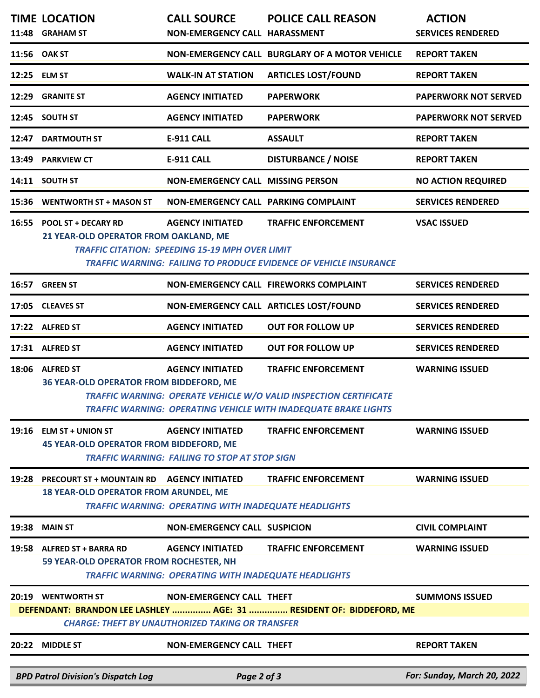| 11:48                                                                                                                          | <b>TIME LOCATION</b><br><b>GRAHAM ST</b>                                                          | <b>CALL SOURCE</b><br>NON-EMERGENCY CALL HARASSMENT                                     | <b>POLICE CALL REASON</b>                                                                                                                                          | <b>ACTION</b><br><b>SERVICES RENDERED</b> |  |  |
|--------------------------------------------------------------------------------------------------------------------------------|---------------------------------------------------------------------------------------------------|-----------------------------------------------------------------------------------------|--------------------------------------------------------------------------------------------------------------------------------------------------------------------|-------------------------------------------|--|--|
|                                                                                                                                | 11:56 OAK ST                                                                                      |                                                                                         | NON-EMERGENCY CALL BURGLARY OF A MOTOR VEHICLE                                                                                                                     | <b>REPORT TAKEN</b>                       |  |  |
|                                                                                                                                | 12:25 ELM ST                                                                                      | <b>WALK-IN AT STATION</b>                                                               | <b>ARTICLES LOST/FOUND</b>                                                                                                                                         | <b>REPORT TAKEN</b>                       |  |  |
| 12:29                                                                                                                          | <b>GRANITE ST</b>                                                                                 | <b>AGENCY INITIATED</b>                                                                 | <b>PAPERWORK</b>                                                                                                                                                   | <b>PAPERWORK NOT SERVED</b>               |  |  |
|                                                                                                                                | 12:45 SOUTH ST                                                                                    | <b>AGENCY INITIATED</b>                                                                 | <b>PAPERWORK</b>                                                                                                                                                   | <b>PAPERWORK NOT SERVED</b>               |  |  |
| 12:47                                                                                                                          | <b>DARTMOUTH ST</b>                                                                               | <b>E-911 CALL</b>                                                                       | <b>ASSAULT</b>                                                                                                                                                     | <b>REPORT TAKEN</b>                       |  |  |
| 13:49                                                                                                                          | <b>PARKVIEW CT</b>                                                                                | <b>E-911 CALL</b>                                                                       | <b>DISTURBANCE / NOISE</b>                                                                                                                                         | <b>REPORT TAKEN</b>                       |  |  |
|                                                                                                                                | 14:11 SOUTH ST                                                                                    | <b>NON-EMERGENCY CALL MISSING PERSON</b>                                                |                                                                                                                                                                    | <b>NO ACTION REQUIRED</b>                 |  |  |
|                                                                                                                                | 15:36 WENTWORTH ST + MASON ST                                                                     | <b>NON-EMERGENCY CALL PARKING COMPLAINT</b>                                             |                                                                                                                                                                    | <b>SERVICES RENDERED</b>                  |  |  |
|                                                                                                                                | 16:55 POOL ST + DECARY RD<br>21 YEAR-OLD OPERATOR FROM OAKLAND, ME                                | <b>AGENCY INITIATED</b><br><b>TRAFFIC CITATION: SPEEDING 15-19 MPH OVER LIMIT</b>       | <b>TRAFFIC ENFORCEMENT</b><br><b>TRAFFIC WARNING: FAILING TO PRODUCE EVIDENCE OF VEHICLE INSURANCE</b>                                                             | <b>VSAC ISSUED</b>                        |  |  |
|                                                                                                                                | 16:57 GREEN ST                                                                                    |                                                                                         | NON-EMERGENCY CALL FIREWORKS COMPLAINT                                                                                                                             | <b>SERVICES RENDERED</b>                  |  |  |
|                                                                                                                                | 17:05 CLEAVES ST                                                                                  |                                                                                         | NON-EMERGENCY CALL ARTICLES LOST/FOUND                                                                                                                             | <b>SERVICES RENDERED</b>                  |  |  |
|                                                                                                                                | 17:22 ALFRED ST                                                                                   | <b>AGENCY INITIATED</b>                                                                 | <b>OUT FOR FOLLOW UP</b>                                                                                                                                           | <b>SERVICES RENDERED</b>                  |  |  |
|                                                                                                                                | 17:31 ALFRED ST                                                                                   | <b>AGENCY INITIATED</b>                                                                 | <b>OUT FOR FOLLOW UP</b>                                                                                                                                           | <b>SERVICES RENDERED</b>                  |  |  |
|                                                                                                                                | 18:06 ALFRED ST<br>36 YEAR-OLD OPERATOR FROM BIDDEFORD, ME                                        | <b>AGENCY INITIATED</b>                                                                 | <b>TRAFFIC ENFORCEMENT</b><br>TRAFFIC WARNING: OPERATE VEHICLE W/O VALID INSPECTION CERTIFICATE<br>TRAFFIC WARNING: OPERATING VEHICLE WITH INADEQUATE BRAKE LIGHTS | <b>WARNING ISSUED</b>                     |  |  |
|                                                                                                                                | $19:16$ ELM ST + UNION ST<br><b>45 YEAR-OLD OPERATOR FROM BIDDEFORD, ME</b>                       | <b>AGENCY INITIATED</b><br><b>TRAFFIC WARNING: FAILING TO STOP AT STOP SIGN</b>         | <b>TRAFFIC ENFORCEMENT</b>                                                                                                                                         | <b>WARNING ISSUED</b>                     |  |  |
| 19:28                                                                                                                          | <b>PRECOURT ST + MOUNTAIN RD AGENCY INITIATED</b><br><b>18 YEAR-OLD OPERATOR FROM ARUNDEL, ME</b> | <b>TRAFFIC WARNING: OPERATING WITH INADEQUATE HEADLIGHTS</b>                            | <b>TRAFFIC ENFORCEMENT</b>                                                                                                                                         | <b>WARNING ISSUED</b>                     |  |  |
| 19:38                                                                                                                          | <b>MAIN ST</b>                                                                                    | <b>NON-EMERGENCY CALL SUSPICION</b>                                                     |                                                                                                                                                                    | <b>CIVIL COMPLAINT</b>                    |  |  |
|                                                                                                                                | 19:58 ALFRED ST + BARRA RD<br>59 YEAR-OLD OPERATOR FROM ROCHESTER, NH                             | <b>AGENCY INITIATED</b><br><b>TRAFFIC WARNING: OPERATING WITH INADEQUATE HEADLIGHTS</b> | <b>TRAFFIC ENFORCEMENT</b>                                                                                                                                         | <b>WARNING ISSUED</b>                     |  |  |
|                                                                                                                                | 20:19 WENTWORTH ST                                                                                | <b>NON-EMERGENCY CALL THEFT</b>                                                         |                                                                                                                                                                    | <b>SUMMONS ISSUED</b>                     |  |  |
| DEFENDANT: BRANDON LEE LASHLEY  AGE: 31  RESIDENT OF: BIDDEFORD, ME<br><b>CHARGE: THEFT BY UNAUTHORIZED TAKING OR TRANSFER</b> |                                                                                                   |                                                                                         |                                                                                                                                                                    |                                           |  |  |
|                                                                                                                                | 20:22 MIDDLE ST                                                                                   | <b>NON-EMERGENCY CALL THEFT</b>                                                         |                                                                                                                                                                    | <b>REPORT TAKEN</b>                       |  |  |
|                                                                                                                                | <b>BPD Patrol Division's Dispatch Log</b>                                                         | Page 2 of 3                                                                             |                                                                                                                                                                    | For: Sunday, March 20, 2022               |  |  |